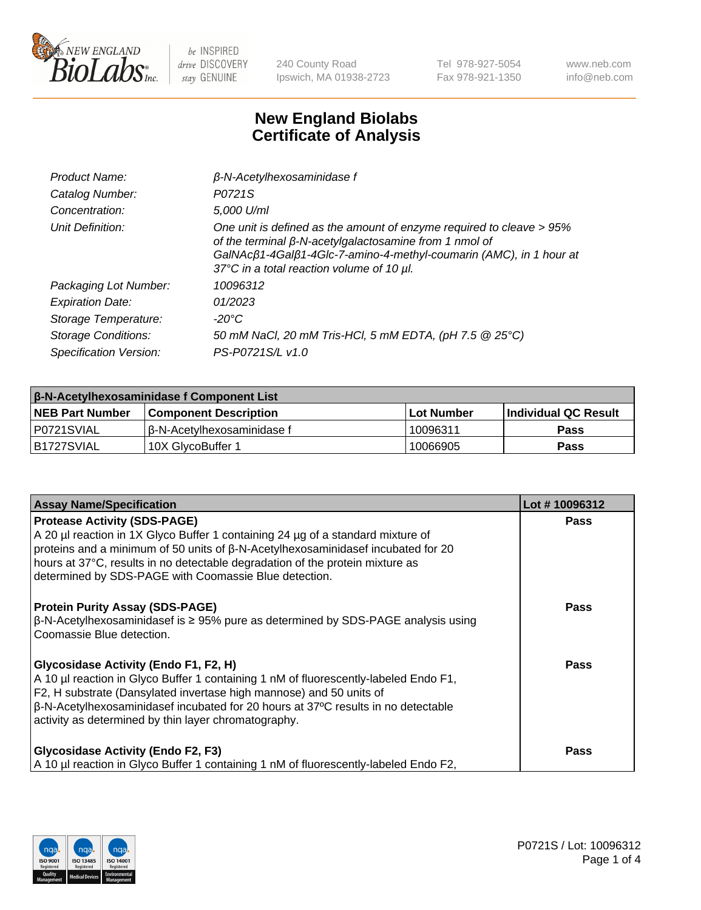

240 County Road Ipswich, MA 01938-2723 Tel 978-927-5054 Fax 978-921-1350 www.neb.com info@neb.com

## **New England Biolabs Certificate of Analysis**

| Product Name:              | $\beta$ -N-Acetylhexosaminidase f                                                                                                                                                                                                                        |
|----------------------------|----------------------------------------------------------------------------------------------------------------------------------------------------------------------------------------------------------------------------------------------------------|
| Catalog Number:            | P0721S                                                                                                                                                                                                                                                   |
| Concentration:             | 5,000 U/ml                                                                                                                                                                                                                                               |
| Unit Definition:           | One unit is defined as the amount of enzyme required to cleave > 95%<br>of the terminal $\beta$ -N-acetylgalactosamine from 1 nmol of<br>GalNAcß1-4Galß1-4Glc-7-amino-4-methyl-coumarin (AMC), in 1 hour at<br>37°C in a total reaction volume of 10 µl. |
| Packaging Lot Number:      | 10096312                                                                                                                                                                                                                                                 |
| <b>Expiration Date:</b>    | 01/2023                                                                                                                                                                                                                                                  |
| Storage Temperature:       | -20°C                                                                                                                                                                                                                                                    |
| <b>Storage Conditions:</b> | 50 mM NaCl, 20 mM Tris-HCl, 5 mM EDTA, (pH 7.5 @ 25°C)                                                                                                                                                                                                   |
| Specification Version:     | PS-P0721S/L v1.0                                                                                                                                                                                                                                         |

| <b>β-N-Acetylhexosaminidase f Component List</b> |                              |            |                             |  |  |
|--------------------------------------------------|------------------------------|------------|-----------------------------|--|--|
| <b>NEB Part Number</b>                           | <b>Component Description</b> | Lot Number | <b>Individual QC Result</b> |  |  |
| I P0721SVIAL                                     | l β-N-Acetvlhexosaminidase f | 10096311   | Pass                        |  |  |
| IB1727SVIAL                                      | 10X GlvcoBuffer 1            | 10066905   | <b>Pass</b>                 |  |  |

| <b>Assay Name/Specification</b>                                                                                                                                                                                                                                                                                                                            | Lot #10096312 |
|------------------------------------------------------------------------------------------------------------------------------------------------------------------------------------------------------------------------------------------------------------------------------------------------------------------------------------------------------------|---------------|
| <b>Protease Activity (SDS-PAGE)</b><br>A 20 µl reaction in 1X Glyco Buffer 1 containing 24 µg of a standard mixture of<br>proteins and a minimum of 50 units of β-N-Acetylhexosaminidasef incubated for 20<br>hours at 37°C, results in no detectable degradation of the protein mixture as<br>determined by SDS-PAGE with Coomassie Blue detection.       | <b>Pass</b>   |
| <b>Protein Purity Assay (SDS-PAGE)</b><br>$\beta$ -N-Acetylhexosaminidasef is ≥ 95% pure as determined by SDS-PAGE analysis using<br>l Coomassie Blue detection.                                                                                                                                                                                           | <b>Pass</b>   |
| <b>Glycosidase Activity (Endo F1, F2, H)</b><br>A 10 µl reaction in Glyco Buffer 1 containing 1 nM of fluorescently-labeled Endo F1,<br>F2, H substrate (Dansylated invertase high mannose) and 50 units of<br>  β-N-Acetylhexosaminidasef incubated for 20 hours at 37°C results in no detectable<br>activity as determined by thin layer chromatography. | Pass          |
| <b>Glycosidase Activity (Endo F2, F3)</b><br>A 10 µl reaction in Glyco Buffer 1 containing 1 nM of fluorescently-labeled Endo F2,                                                                                                                                                                                                                          | Pass          |

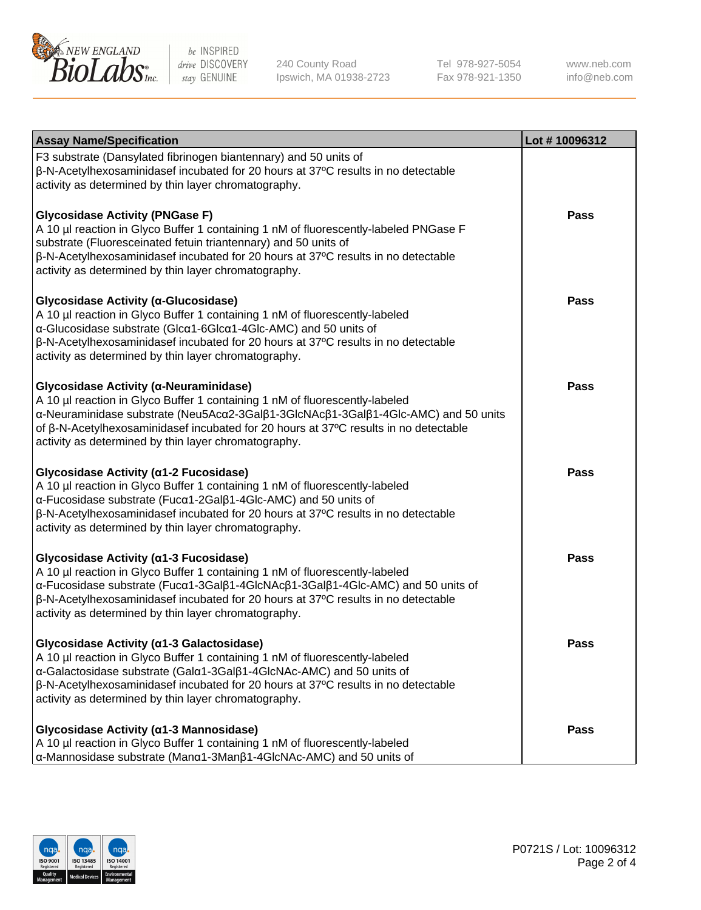

240 County Road Ipswich, MA 01938-2723 Tel 978-927-5054 Fax 978-921-1350 www.neb.com info@neb.com

| <b>Assay Name/Specification</b>                                                                                                                                                                                                                                                                                                                                | Lot #10096312 |
|----------------------------------------------------------------------------------------------------------------------------------------------------------------------------------------------------------------------------------------------------------------------------------------------------------------------------------------------------------------|---------------|
| F3 substrate (Dansylated fibrinogen biantennary) and 50 units of<br>β-N-Acetylhexosaminidasef incubated for 20 hours at 37°C results in no detectable<br>activity as determined by thin layer chromatography.                                                                                                                                                  |               |
| <b>Glycosidase Activity (PNGase F)</b><br>A 10 µl reaction in Glyco Buffer 1 containing 1 nM of fluorescently-labeled PNGase F<br>substrate (Fluoresceinated fetuin triantennary) and 50 units of<br>β-N-Acetylhexosaminidasef incubated for 20 hours at 37°C results in no detectable<br>activity as determined by thin layer chromatography.                 | Pass          |
| Glycosidase Activity (α-Glucosidase)<br>A 10 µl reaction in Glyco Buffer 1 containing 1 nM of fluorescently-labeled<br>α-Glucosidase substrate (Glcα1-6Glcα1-4Glc-AMC) and 50 units of<br>β-N-Acetylhexosaminidasef incubated for 20 hours at 37°C results in no detectable<br>activity as determined by thin layer chromatography.                            | Pass          |
| Glycosidase Activity (α-Neuraminidase)<br>A 10 µl reaction in Glyco Buffer 1 containing 1 nM of fluorescently-labeled<br>α-Neuraminidase substrate (Neu5Acα2-3Galβ1-3GlcNAcβ1-3Galβ1-4Glc-AMC) and 50 units<br>of β-N-Acetylhexosaminidasef incubated for 20 hours at 37°C results in no detectable<br>activity as determined by thin layer chromatography.    | <b>Pass</b>   |
| Glycosidase Activity (α1-2 Fucosidase)<br>A 10 µl reaction in Glyco Buffer 1 containing 1 nM of fluorescently-labeled<br>α-Fucosidase substrate (Fucα1-2Galβ1-4Glc-AMC) and 50 units of<br>$\beta$ -N-Acetylhexosaminidasef incubated for 20 hours at 37 $\degree$ C results in no detectable<br>activity as determined by thin layer chromatography.          | Pass          |
| Glycosidase Activity (α1-3 Fucosidase)<br>A 10 µl reaction in Glyco Buffer 1 containing 1 nM of fluorescently-labeled<br>α-Fucosidase substrate (Fucα1-3Galβ1-4GlcNAcβ1-3Galβ1-4Glc-AMC) and 50 units of<br>β-N-Acetylhexosaminidasef incubated for 20 hours at 37°C results in no detectable<br>activity as determined by thin layer chromatography.          | Pass          |
| Glycosidase Activity (a1-3 Galactosidase)<br>A 10 µl reaction in Glyco Buffer 1 containing 1 nM of fluorescently-labeled<br>α-Galactosidase substrate (Galα1-3Galβ1-4GlcNAc-AMC) and 50 units of<br>$\beta$ -N-Acetylhexosaminidasef incubated for 20 hours at 37 $\degree$ C results in no detectable<br>activity as determined by thin layer chromatography. | <b>Pass</b>   |
| Glycosidase Activity (α1-3 Mannosidase)<br>A 10 µl reaction in Glyco Buffer 1 containing 1 nM of fluorescently-labeled<br>α-Mannosidase substrate (Manα1-3Manβ1-4GlcNAc-AMC) and 50 units of                                                                                                                                                                   | Pass          |

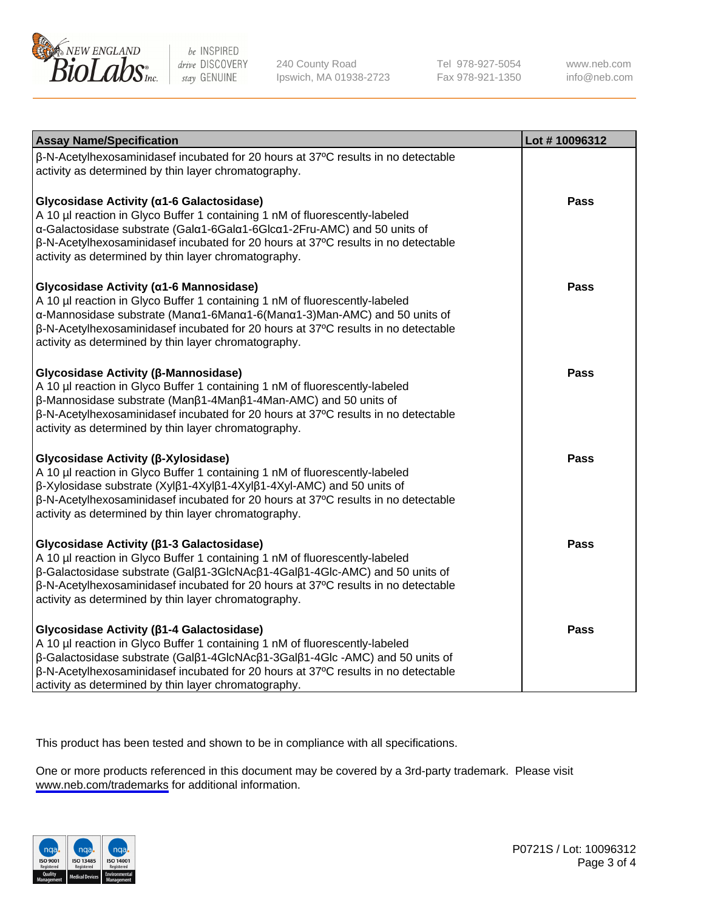

240 County Road Ipswich, MA 01938-2723 Tel 978-927-5054 Fax 978-921-1350

www.neb.com info@neb.com

| <b>Assay Name/Specification</b>                                                                                                                                                                                                                                                                                                                      | Lot #10096312 |
|------------------------------------------------------------------------------------------------------------------------------------------------------------------------------------------------------------------------------------------------------------------------------------------------------------------------------------------------------|---------------|
| β-N-Acetylhexosaminidasef incubated for 20 hours at 37°C results in no detectable<br>activity as determined by thin layer chromatography.                                                                                                                                                                                                            |               |
| Glycosidase Activity (a1-6 Galactosidase)<br>A 10 µl reaction in Glyco Buffer 1 containing 1 nM of fluorescently-labeled<br>α-Galactosidase substrate (Galα1-6Galα1-6Glcα1-2Fru-AMC) and 50 units of<br>β-N-Acetylhexosaminidasef incubated for 20 hours at 37°C results in no detectable<br>activity as determined by thin layer chromatography.    | Pass          |
| Glycosidase Activity (α1-6 Mannosidase)<br>A 10 µl reaction in Glyco Buffer 1 containing 1 nM of fluorescently-labeled<br>α-Mannosidase substrate (Manα1-6Manα1-6(Manα1-3)Man-AMC) and 50 units of<br>β-N-Acetylhexosaminidasef incubated for 20 hours at 37°C results in no detectable<br>activity as determined by thin layer chromatography.      | Pass          |
| Glycosidase Activity (β-Mannosidase)<br>A 10 µl reaction in Glyco Buffer 1 containing 1 nM of fluorescently-labeled<br>β-Mannosidase substrate (Manβ1-4Manβ1-4Man-AMC) and 50 units of<br>β-N-Acetylhexosaminidasef incubated for 20 hours at 37°C results in no detectable<br>activity as determined by thin layer chromatography.                  | <b>Pass</b>   |
| Glycosidase Activity (β-Xylosidase)<br>A 10 µl reaction in Glyco Buffer 1 containing 1 nM of fluorescently-labeled<br>β-Xylosidase substrate (Xylβ1-4Xylβ1-4Xylβ1-4Xyl-AMC) and 50 units of<br>β-N-Acetylhexosaminidasef incubated for 20 hours at 37°C results in no detectable<br>activity as determined by thin layer chromatography.             | <b>Pass</b>   |
| Glycosidase Activity (β1-3 Galactosidase)<br>A 10 µl reaction in Glyco Buffer 1 containing 1 nM of fluorescently-labeled<br>β-Galactosidase substrate (Galβ1-3GlcNAcβ1-4Galβ1-4Glc-AMC) and 50 units of<br>β-N-Acetylhexosaminidasef incubated for 20 hours at 37°C results in no detectable<br>activity as determined by thin layer chromatography. | <b>Pass</b>   |
| Glycosidase Activity (β1-4 Galactosidase)<br>A 10 µl reaction in Glyco Buffer 1 containing 1 nM of fluorescently-labeled<br>β-Galactosidase substrate (Galβ1-4GlcNAcβ1-3Galβ1-4Glc-AMC) and 50 units of<br>β-N-Acetylhexosaminidasef incubated for 20 hours at 37°C results in no detectable<br>activity as determined by thin layer chromatography. | <b>Pass</b>   |

This product has been tested and shown to be in compliance with all specifications.

One or more products referenced in this document may be covered by a 3rd-party trademark. Please visit <www.neb.com/trademarks>for additional information.